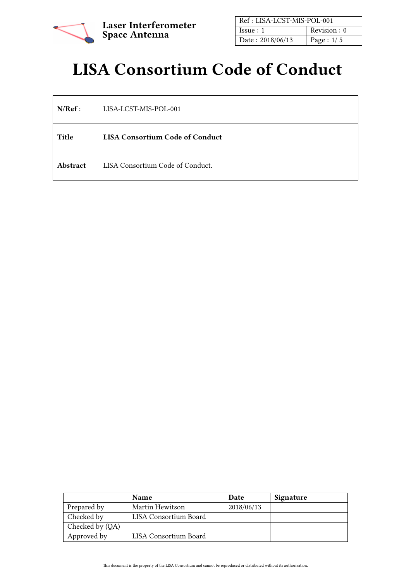

| Ref: LISA-LCST-MIS-POL-001 |              |
|----------------------------|--------------|
| Issue:1                    | Revision : 0 |
| Date: 2018/06/13           | Page : $1/5$ |

# LISA Consortium Code of Conduct

| N/Ref:   | LISA-LCST-MIS-POL-001                  |  |
|----------|----------------------------------------|--|
| Title    | <b>LISA Consortium Code of Conduct</b> |  |
| Abstract | LISA Consortium Code of Conduct.       |  |

|                 | <b>Name</b>           | Date       | Signature |
|-----------------|-----------------------|------------|-----------|
| Prepared by     | Martin Hewitson       | 2018/06/13 |           |
| Checked by      | LISA Consortium Board |            |           |
| Checked by (QA) |                       |            |           |
| Approved by     | LISA Consortium Board |            |           |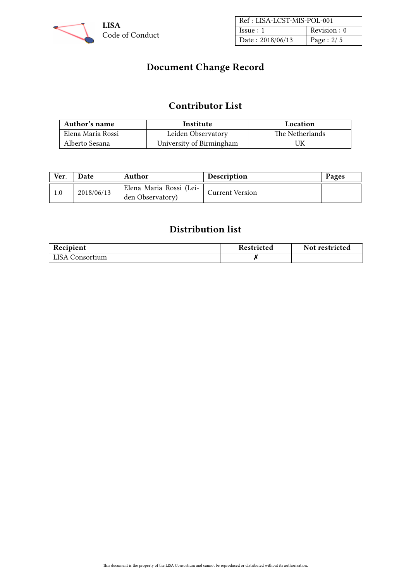

| Ref: LISA-LCST-MIS-POL-001 |              |
|----------------------------|--------------|
| Issue:1                    | Revision : 0 |
| Date: 2018/06/13           | Page : $2/5$ |

# Document Change Record

## Contributor List

| Author's name     | Institute                | Location        |
|-------------------|--------------------------|-----------------|
| Elena Maria Rossi | Leiden Observatory       | The Netherlands |
| Alberto Sesana    | University of Birmingham | UK              |

| Ver. | <b>Date</b> | Author                                      | <b>Description</b>     | Pages |
|------|-------------|---------------------------------------------|------------------------|-------|
|      | 2018/06/13  | Elena Maria Rossi (Lei-<br>den Observatory) | <b>Current Version</b> |       |

# Distribution list

| Recipient              | Restricted | Not restricted |
|------------------------|------------|----------------|
| <b>LISA</b> Consortium |            |                |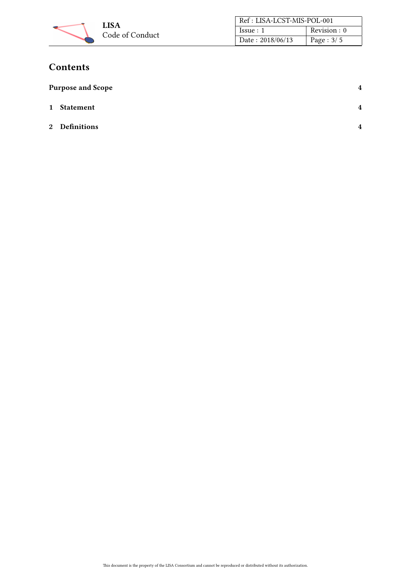

| Ref: LISA-LCST-MIS-POL-001 |              |  |
|----------------------------|--------------|--|
| Issue:1                    | Revision : 0 |  |
| Date: 2018/06/13           | Page : $3/5$ |  |

# **Contents**

| <b>Purpose and Scope</b> | 4              |
|--------------------------|----------------|
| 1 Statement              | $\overline{4}$ |
| 2 Definitions            | $\overline{4}$ |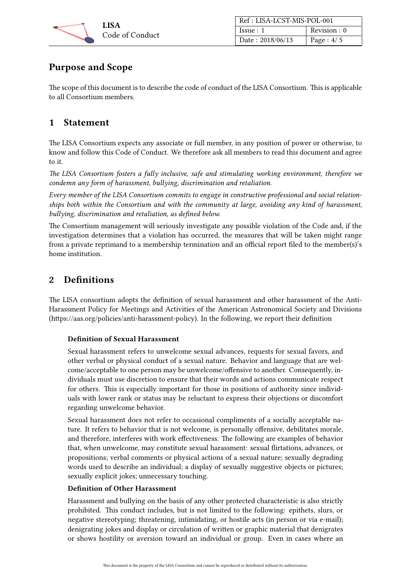

| Ref: LISA-LCST-MIS-POL-001 |              |
|----------------------------|--------------|
| Issue:1                    | Revision : 0 |
| Date: 2018/06/13           | Page : $4/5$ |

## <span id="page-3-0"></span>Purpose and Scope

The scope of this document is to describe the code of conduct of the LISA Consortium. This is applicable to all Consortium members.

## <span id="page-3-1"></span>1 Statement

The LISA Consortium expects any associate or full member, in any position of power or otherwise, to know and follow this Code of Conduct. We therefore ask all members to read this document and agree to it.

The LISA Consortium fosters a fully inclusive, safe and stimulating working environment, therefore we condemn any form of harassment, bullying, discrimination and retaliation.

Every member of the LISA Consortium commits to engage in constructive professional and social relationships both within the Consortium and with the community at large, avoiding any kind of harassment, bullying, discrimination and retaliation, as defined below.

The Consortium management will seriously investigate any possible violation of the Code and, if the investigation determines that a violation has occurred, the measures that will be taken might range from a private reprimand to a membership termination and an official report filed to the member(s)'s home institution.

## <span id="page-3-2"></span>2 Definitions

The LISA consortium adopts the definition of sexual harassment and other harassment of the Anti-Harassment Policy for Meetings and Activities of the American Astronomical Society and Divisions (https://aas.org/policies/anti-harassment-policy). In the following, we report their definition

### Definition of Sexual Harassment

Sexual harassment refers to unwelcome sexual advances, requests for sexual favors, and other verbal or physical conduct of a sexual nature. Behavior and language that are welcome/acceptable to one person may be unwelcome/offensive to another. Consequently, individuals must use discretion to ensure that their words and actions communicate respect for others. This is especially important for those in positions of authority since individuals with lower rank or status may be reluctant to express their objections or discomfort regarding unwelcome behavior.

Sexual harassment does not refer to occasional compliments of a socially acceptable nature. It refers to behavior that is not welcome, is personally offensive, debilitates morale, and therefore, interferes with work effectiveness. The following are examples of behavior that, when unwelcome, may constitute sexual harassment: sexual flirtations, advances, or propositions; verbal comments or physical actions of a sexual nature; sexually degrading words used to describe an individual; a display of sexually suggestive objects or pictures; sexually explicit jokes; unnecessary touching.

#### Definition of Other Harassment

Harassment and bullying on the basis of any other protected characteristic is also strictly prohibited. This conduct includes, but is not limited to the following: epithets, slurs, or negative stereotyping; threatening, intimidating, or hostile acts (in person or via e-mail); denigrating jokes and display or circulation of written or graphic material that denigrates or shows hostility or aversion toward an individual or group. Even in cases where an